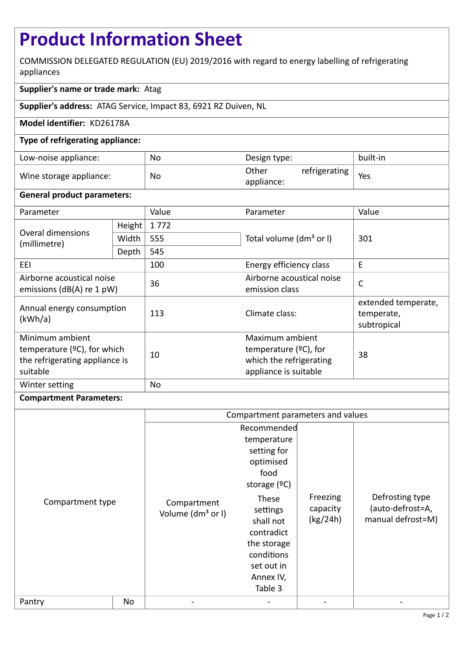# **Product Information Sheet**

COMMISSION DELEGATED REGULATION (EU) 2019/2016 with regard to energy labelling of refrigerating appliances

# **Supplier's name or trade mark:** Atag

**Supplier's address:** ATAG Service, Impact 83, 6921 RZ Duiven, NL

## **Model identifier:** KD26178A

## **Type of refrigerating appliance:**

| Low-noise appliance:    | No        | Design type:                         | built-in |
|-------------------------|-----------|--------------------------------------|----------|
| Wine storage appliance: | <b>No</b> | Other<br>refrigerating<br>appliance: | Yes      |

#### **General product parameters:**

| Parameter                                                                                       |        | Value | Parameter                                                                                       | Value                                            |
|-------------------------------------------------------------------------------------------------|--------|-------|-------------------------------------------------------------------------------------------------|--------------------------------------------------|
| Overal dimensions<br>(millimetre)                                                               | Height | 1772  |                                                                                                 | 301                                              |
|                                                                                                 | Width  | 555   | Total volume (dm <sup>3</sup> or I)                                                             |                                                  |
|                                                                                                 | Depth  | 545   |                                                                                                 |                                                  |
| EEL                                                                                             |        | 100   | Energy efficiency class                                                                         | E                                                |
| Airborne acoustical noise<br>emissions (dB(A) re 1 pW)                                          |        | 36    | Airborne acoustical noise<br>emission class                                                     | $\mathsf{C}$                                     |
| Annual energy consumption<br>(kWh/a)                                                            |        | 113   | Climate class:                                                                                  | extended temperate,<br>temperate,<br>subtropical |
| Minimum ambient<br>temperature $(2C)$ , for which<br>the refrigerating appliance is<br>suitable |        | 10    | Maximum ambient<br>temperature $(2C)$ , for<br>which the refrigerating<br>appliance is suitable | 38                                               |
| Winter setting                                                                                  |        | No    |                                                                                                 |                                                  |

#### **Compartment Parameters:**

|                  |    | Compartment parameters and values            |                                                                                                                                  |                                  |                                                          |
|------------------|----|----------------------------------------------|----------------------------------------------------------------------------------------------------------------------------------|----------------------------------|----------------------------------------------------------|
| Compartment type |    | Compartment<br>Volume (dm <sup>3</sup> or I) | Recommended<br>temperature<br>setting for<br>optimised<br>food<br>storage $(°C)$<br>These<br>settings<br>shall not<br>contradict | Freezing<br>capacity<br>(kg/24h) | Defrosting type<br>(auto-defrost=A,<br>manual defrost=M) |
|                  |    |                                              | the storage<br>conditions<br>set out in<br>Annex IV,<br>Table 3                                                                  |                                  |                                                          |
| Pantry           | No |                                              |                                                                                                                                  |                                  |                                                          |